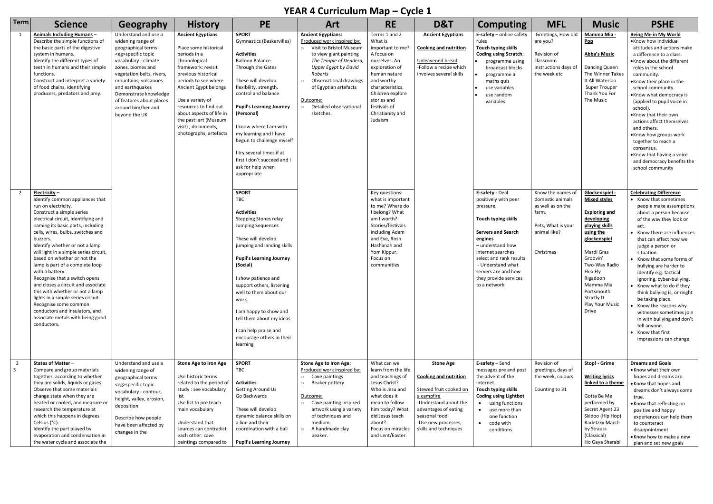## **YEAR 4 Curriculum Map – Cycle 1**

|                         | T                                                                                                                                                                                                                                                                                                                                                                                                                                                                                                                                                                                                                                                               |                                                                                                                                                                                                                                                                                                                      |                                                                                                                                                                                                                                                                                                                                    |                                                                                                                                                                                                                                                                                                                                                                                                                                               |                                                                                                                                                                                                                                                                                                             |                                                                                                                                                                                                                                    |                                                                                                                                                                                                            |                                                                                                                                                                                                                                                            |                                                                                                                        |                                                                                                                                                                                                                                                                    |                                                                                                                                                                                                                                                                                                                                                                                                                                                                                                                                                             |
|-------------------------|-----------------------------------------------------------------------------------------------------------------------------------------------------------------------------------------------------------------------------------------------------------------------------------------------------------------------------------------------------------------------------------------------------------------------------------------------------------------------------------------------------------------------------------------------------------------------------------------------------------------------------------------------------------------|----------------------------------------------------------------------------------------------------------------------------------------------------------------------------------------------------------------------------------------------------------------------------------------------------------------------|------------------------------------------------------------------------------------------------------------------------------------------------------------------------------------------------------------------------------------------------------------------------------------------------------------------------------------|-----------------------------------------------------------------------------------------------------------------------------------------------------------------------------------------------------------------------------------------------------------------------------------------------------------------------------------------------------------------------------------------------------------------------------------------------|-------------------------------------------------------------------------------------------------------------------------------------------------------------------------------------------------------------------------------------------------------------------------------------------------------------|------------------------------------------------------------------------------------------------------------------------------------------------------------------------------------------------------------------------------------|------------------------------------------------------------------------------------------------------------------------------------------------------------------------------------------------------------|------------------------------------------------------------------------------------------------------------------------------------------------------------------------------------------------------------------------------------------------------------|------------------------------------------------------------------------------------------------------------------------|--------------------------------------------------------------------------------------------------------------------------------------------------------------------------------------------------------------------------------------------------------------------|-------------------------------------------------------------------------------------------------------------------------------------------------------------------------------------------------------------------------------------------------------------------------------------------------------------------------------------------------------------------------------------------------------------------------------------------------------------------------------------------------------------------------------------------------------------|
| <b>Term</b>             | <b>Science</b>                                                                                                                                                                                                                                                                                                                                                                                                                                                                                                                                                                                                                                                  | Geography                                                                                                                                                                                                                                                                                                            | <b>History</b>                                                                                                                                                                                                                                                                                                                     | <b>PE</b>                                                                                                                                                                                                                                                                                                                                                                                                                                     | <b>Art</b>                                                                                                                                                                                                                                                                                                  | <b>RE</b>                                                                                                                                                                                                                          | D&T                                                                                                                                                                                                        | <b>Computing</b>                                                                                                                                                                                                                                           | <b>MFL</b>                                                                                                             | <b>Music</b>                                                                                                                                                                                                                                                       | <b>PSHE</b>                                                                                                                                                                                                                                                                                                                                                                                                                                                                                                                                                 |
|                         | <b>Animals Including Humans -</b><br>Describe the simple functions of<br>the basic parts of the digestive<br>system in humans.<br>Identify the different types of<br>teeth in humans and their simple<br>functions.<br>Construct and interpret a variety<br>of food chains, identifying<br>producers, predators and prey.                                                                                                                                                                                                                                                                                                                                       | Understand and use a<br>widening range of<br>geographical terms<br><eg>specific topic<br/>vocabulary - climate<br/>zones, biomes and<br/>vegetation belts, rivers,<br/>mountains, volcanoes<br/>and earthquakes<br/>Demonstrate knowledge<br/>of features about places<br/>around him/her and<br/>beyond the UK</eg> | <b>Ancient Egyptians</b><br>Place some historical<br>periods in a<br>chronological<br>framework: revisit<br>previous historical<br>periods to see where<br>Ancient Egypt belongs<br>Use a variety of<br>resources to find out<br>about aspects of life in<br>the past: art (Museum<br>visit), documents,<br>photographs, artefacts | <b>SPORT</b><br><b>Gymnastics (Baskervilles)</b><br><b>Activities</b><br><b>Balloon Balance</b><br>Through the Gates<br>These will develop<br>flexibility, strength,<br>control and balance<br><b>Pupil's Learning Journey</b><br>(Personal)<br>I know where I am with<br>my learning and I have<br>begun to challenge myself<br>I try several times if at<br>first I don't succeed and I<br>ask for help when<br>appropriate<br><b>SPORT</b> | <b>Ancient Egyptians:</b><br>Produced work inspired by:<br>Visit to Bristol Museum<br>$\circ$<br>to view giant painting<br>The Temple of Dendera<br><b>Upper Egypt by David</b><br>Roberts<br>Observational drawings<br>$\circ$<br>of Egyptian artefacts<br>Outcome:<br>Detailed observational<br>sketches. | Terms 1 and 2<br>What is<br>important to me?<br>A focus on<br>ourselves. An<br>exploration of<br>human nature<br>and worthy<br>characteristics.<br>Children explore<br>stories and<br>festivals of<br>Christianity and<br>Judaism. | <b>Ancient Egyptians</b><br><b>Cooking and nutrition</b><br>Unleavened bread<br>-Follow a recipe which<br>involves several skills                                                                          | E-safety - online safety<br>rules<br>Touch typing skills<br><b>Coding using Scratch:</b><br>programme using<br>broadcast blocks<br>programme a<br>maths quiz<br>use variables<br>use random<br>variables<br>E-safety - Deal                                | Greetings, How old<br>are you?<br>Revision of<br>classroom<br>instructions days of<br>the week etc                     | Mamma Mia -<br>$\underline{\mathsf{Pop}}$<br><b>Abba's Music</b><br>Dancing Queen<br>The Winner Takes<br>It All Waterloo<br>Super Trouper<br>Thank You For<br>The Music                                                                                            | Being Me in My World<br>.Know how individual<br>attitudes and actions make<br>a difference to a class.<br>•Know about the different<br>roles in the school<br>community.<br>•Know their place in the<br>school community.<br>•Know what democracy is<br>(applied to pupil voice in<br>school).<br>•Know that their own<br>actions affect themselves<br>and others.<br>.Know how groups work<br>together to reach a<br>consensus.<br>.Know that having a voice<br>and democracy benefits the<br>school community<br><b>Celebrating Difference</b>            |
|                         | Electricity-<br>Identify common appliances that<br>run on electricity.<br>Construct a simple series<br>electrical circuit, identifying and<br>naming its basic parts, including<br>cells, wires, bulbs, switches and<br>buzzers.<br>Identify whether or not a lamp<br>will light in a simple series circuit,<br>based on whether or not the<br>lamp is part of a complete loop<br>with a battery.<br>Recognise that a switch opens<br>and closes a circuit and associate<br>this with whether or not a lamp<br>lights in a simple series circuit.<br>Recognise some common<br>conductors and insulators, and<br>associate metals with being good<br>conductors. |                                                                                                                                                                                                                                                                                                                      |                                                                                                                                                                                                                                                                                                                                    | TBC<br><b>Activities</b><br><b>Stepping Stones relay</b><br><b>Jumping Sequences</b><br>These will develop<br>jumping and landing skills<br><b>Pupil's Learning Journey</b><br>(Social)<br>I show patience and<br>support others, listening<br>well to them about our<br>work.<br>I am happy to show and<br>tell them about my ideas<br>I can help praise and<br>encourage others in their<br>learning                                        |                                                                                                                                                                                                                                                                                                             | Key questions:<br>what is important<br>to me? Where do<br>I belong? What<br>am I worth?<br>Stories/festivals<br>including Adam<br>and Eve, Rosh<br>Hashanah and<br>Yom Kippur.<br>Focus on<br>communities                          |                                                                                                                                                                                                            | positively with peer<br>pressure.<br>Touch typing skills<br><b>Servers and Search</b><br>engines<br>- understand how<br>internet searches<br>select and rank results<br>- Understand what<br>servers are and how<br>they provide services<br>to a network. | Know the names of<br>domestic animals<br>as well as on the<br>farm.<br>Pets, What is your<br>animal like?<br>Christmas | Glockenspiel -<br><b>Mixed styles</b><br><b>Exploring and</b><br>developing<br>playing skills<br>using the<br>glockenspiel<br>Mardi Gras<br>Groovin'<br>Two-Way Radio<br>Flea Fly<br>Rigadoon<br>Mamma Mia<br>Portsmouth<br>Strictly D<br>Play Your Music<br>Drive | • Know that sometimes<br>people make assumptions<br>about a person because<br>of the way they look or<br>act.<br>• Know there are influences<br>that can affect how we<br>judge a person or<br>situation.<br>• Know that some forms of<br>bullying are harder to<br>identify e.g. tactical<br>ignoring, cyber-bullying.<br>• Know what to do if they<br>think bullying is, or might<br>be taking place.<br>• Know the reasons why<br>witnesses sometimes join<br>in with bullying and don't<br>tell anyone.<br>• Know that first<br>impressions can change. |
| $\overline{\mathbf{3}}$ | States of Matter -<br>Compare and group materials<br>together, according to whether<br>they are solids, liquids or gases.<br>Observe that some materials<br>change state when they are<br>heated or cooled, and measure or<br>research the temperature at<br>which this happens in degrees<br>Celsius (°C).<br>Identify the part played by<br>evaporation and condensation in<br>the water cycle and associate the                                                                                                                                                                                                                                              | Understand and use a<br>widening range of<br>geographical terms<br><eg>specific topic<br/>vocabulary - contour,<br/>height, valley, erosion,<br/>deposition<br/>Describe how people<br/>have been affected by<br/>changes in the</eg>                                                                                | <b>Stone Age to Iron Age</b><br>Use historic terms<br>related to the period of<br>study : see vocabulary<br>list<br>Use list to pre teach<br>main vocabulary<br>Understand that<br>sources can contradict<br>each other: cave<br>paintings compared to                                                                             | <b>SPORT</b><br>TBC<br><b>Activities</b><br><b>Getting Around Us</b><br>Go Backwards<br>These will develop<br>dynamic balance skills on<br>a line and their<br>coordination with a ball<br><b>Pupil's Learning Journey</b>                                                                                                                                                                                                                    | <b>Stone Age to Iron Age:</b><br>Produced work inspired by:<br>Cave paintings<br>$\circ$<br>Beaker pottery<br>$\circ$<br>Outcome:<br>Cave painting inspired<br>$\circ$<br>artwork using a variety<br>of techniques and<br>medium.<br>A handmade clay<br>beaker.                                             | What can we<br>learn from the life<br>and teachings of<br>Jesus Christ?<br>Who is Jesu and<br>what does it<br>mean to follow<br>him today? What<br>did Jesus teach<br>about?<br>Focus on miracles<br>and Lent/Easter.              | <b>Stone Age</b><br><b>Cooking and nutrition</b><br>Stewed fruit cooked on<br>a campfire<br>-Understand about the<br>advantages of eating<br>seasonal food<br>-Use new processes,<br>skills and techniques | E-safety - Send<br>messages pre and post<br>the advent of the<br>internet.<br>Touch typing skills<br><b>Coding using Lightbot</b><br>• using functions<br>• use more than<br>one function<br>• code with<br>conditions                                     | Revision of<br>greetings, days of<br>the week, colours<br>Counting to 31                                               | Stop! - Grime<br><b>Writing lyrics</b><br>linked to a theme<br>Gotta Be Me<br>performed by<br>Secret Agent 23<br>Skidoo (Hip Hop)<br>Radetzky March<br>by Strauss<br>(Classical)<br>Ho Gaya Sharabi                                                                | <b>Dreams and Goals</b><br>• Know what their own<br>hopes and dreams are.<br>• Know that hopes and<br>dreams don't always come<br>true.<br>• Know that reflecting on<br>positive and happy<br>experiences can help them<br>to counteract<br>disappointment.<br>• Know how to make a new<br>plan and set new goals                                                                                                                                                                                                                                           |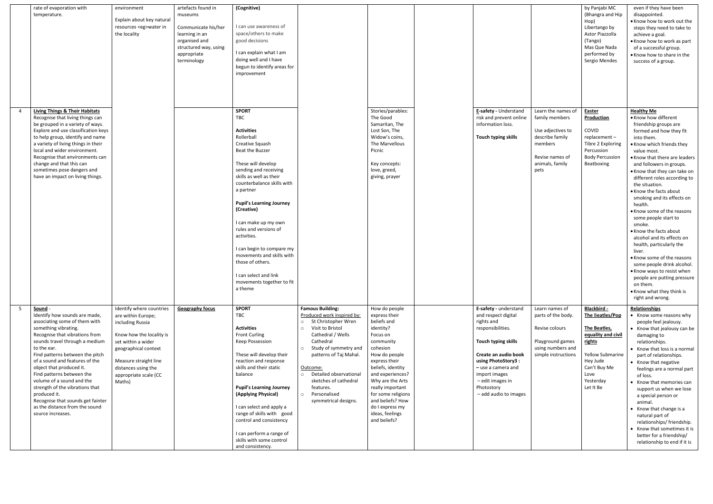| rate of evaporation with<br>temperature.                                                                                                                                                                                                                                                                                                                                                                                                                                                       | environment<br>Explain about key natural<br>resources <eg>water in<br/>the locality</eg>                                                                                                                                        | artefacts found in<br>museums<br>Communicate his/her<br>learning in an<br>organised and<br>structured way, using<br>appropriate<br>terminology | (Cognitive)<br>I can use awareness of<br>space/others to make<br>good decisions<br>I can explain what I am<br>doing well and I have<br>begun to identify areas for<br>improvement                                                                                                                                                                                                                                                                                                 |                                                                                                                                                                                                                                                                                                                                                                   |                                                                                                                                                                                                                                                                                                                    |                          |                                                                                                                                                                                                                              |                                                                                                                                       | by Panjabi MC<br>(Bhangra and Hip<br>Hop)<br>Libertango by<br>Astor Piazzolla<br>(Tango)<br>Mas Que Nada<br>performed by<br>Sergio Mendes                               | even if they have been<br>disappointed.<br>. Know how to work out the<br>steps they need to take to<br>achieve a goal.<br>• Know how to work as part<br>of a successful group.<br>• Know how to share in the<br>success of a group.                                                                                                                                                                                                                                                                                                                                                                                                                                                                       |
|------------------------------------------------------------------------------------------------------------------------------------------------------------------------------------------------------------------------------------------------------------------------------------------------------------------------------------------------------------------------------------------------------------------------------------------------------------------------------------------------|---------------------------------------------------------------------------------------------------------------------------------------------------------------------------------------------------------------------------------|------------------------------------------------------------------------------------------------------------------------------------------------|-----------------------------------------------------------------------------------------------------------------------------------------------------------------------------------------------------------------------------------------------------------------------------------------------------------------------------------------------------------------------------------------------------------------------------------------------------------------------------------|-------------------------------------------------------------------------------------------------------------------------------------------------------------------------------------------------------------------------------------------------------------------------------------------------------------------------------------------------------------------|--------------------------------------------------------------------------------------------------------------------------------------------------------------------------------------------------------------------------------------------------------------------------------------------------------------------|--------------------------|------------------------------------------------------------------------------------------------------------------------------------------------------------------------------------------------------------------------------|---------------------------------------------------------------------------------------------------------------------------------------|-------------------------------------------------------------------------------------------------------------------------------------------------------------------------|-----------------------------------------------------------------------------------------------------------------------------------------------------------------------------------------------------------------------------------------------------------------------------------------------------------------------------------------------------------------------------------------------------------------------------------------------------------------------------------------------------------------------------------------------------------------------------------------------------------------------------------------------------------------------------------------------------------|
|                                                                                                                                                                                                                                                                                                                                                                                                                                                                                                |                                                                                                                                                                                                                                 |                                                                                                                                                |                                                                                                                                                                                                                                                                                                                                                                                                                                                                                   |                                                                                                                                                                                                                                                                                                                                                                   |                                                                                                                                                                                                                                                                                                                    |                          |                                                                                                                                                                                                                              |                                                                                                                                       |                                                                                                                                                                         |                                                                                                                                                                                                                                                                                                                                                                                                                                                                                                                                                                                                                                                                                                           |
| <b>Living Things &amp; Their Habitats</b><br>Recognise that living things can<br>be grouped in a variety of ways.<br>Explore and use classification keys<br>to help group, identify and name<br>a variety of living things in their<br>local and wider environment.<br>Recognise that environments can<br>change and that this can<br>sometimes pose dangers and<br>have an impact on living things.                                                                                           |                                                                                                                                                                                                                                 |                                                                                                                                                | <b>SPORT</b><br>TBC<br><b>Activities</b><br>Rollerball<br>Creative Squash<br>Beat the Buzzer<br>These will develop<br>sending and receiving<br>skills as well as their<br>counterbalance skills with<br>a partner<br><b>Pupil's Learning Journey</b><br>(Creative)<br>I can make up my own<br>rules and versions of<br>activities.<br>I can begin to compare my<br>movements and skills with<br>those of others.<br>I can select and link<br>movements together to fit<br>a theme |                                                                                                                                                                                                                                                                                                                                                                   | Stories/parables:<br>The Good<br>Samaritan, The<br>Lost Son, The<br>Widow's coins,<br>The Marvellous<br>Picnic<br>Key concepts:<br>love, greed,<br>giving, prayer                                                                                                                                                  |                          | E-safety - Understand<br>risk and prevent online<br>information loss.<br>Touch typing skills                                                                                                                                 | Learn the names of<br>family members<br>Use adjectives to<br>describe family<br>members<br>Revise names of<br>animals, family<br>pets | <b>Easter</b><br><b>Production</b><br>COVID<br>replacement-<br>Tibre 2 Exploring<br>Percussion<br><b>Body Percussion</b><br>Beatboxing                                  | <b>Healthy Me</b><br>• Know how different<br>friendship groups are<br>formed and how they fit<br>into them.<br>. Know which friends they<br>value most.<br>• Know that there are leaders<br>and followers in groups.<br>• Know that they can take on<br>different roles according to<br>the situation.<br>• Know the facts about<br>smoking and its effects on<br>health.<br>• Know some of the reasons<br>some people start to<br>smoke.<br>• Know the facts about<br>alcohol and its effects on<br>health, particularly the<br>liver.<br>• Know some of the reasons<br>some people drink alcohol.<br>• Know ways to resist when<br>people are putting pressure<br>on them.<br>• Know what they think is |
|                                                                                                                                                                                                                                                                                                                                                                                                                                                                                                |                                                                                                                                                                                                                                 |                                                                                                                                                |                                                                                                                                                                                                                                                                                                                                                                                                                                                                                   |                                                                                                                                                                                                                                                                                                                                                                   |                                                                                                                                                                                                                                                                                                                    |                          |                                                                                                                                                                                                                              |                                                                                                                                       |                                                                                                                                                                         | right and wrong.                                                                                                                                                                                                                                                                                                                                                                                                                                                                                                                                                                                                                                                                                          |
| Sound -<br>Identify how sounds are made,<br>associating some of them with<br>something vibrating.<br>Recognise that vibrations from<br>sounds travel through a medium<br>to the ear.<br>Find patterns between the pitch<br>of a sound and features of the<br>object that produced it.<br>Find patterns between the<br>volume of a sound and the<br>strength of the vibrations that<br>produced it.<br>Recognise that sounds get fainter<br>as the distance from the sound<br>source increases. | Identify where countries<br>are within Europe;<br>including Russia<br>Know how the locality is<br>set within a wider<br>geographical context<br>Measure straight line<br>distances using the<br>appropriate scale (CC<br>Maths) | <b>Geography focus</b>                                                                                                                         | <b>SPORT</b><br>TBC<br><b>Activities</b><br><b>Front Curling</b><br>Keep Possession<br>These will develop their<br>reaction and response<br>skills and their static<br>balance<br><b>Pupil's Learning Journey</b><br>(Applying Physical)<br>I can select and apply a<br>range of skills with good<br>control and consistency<br>I can perform a range of<br>skills with some control<br>and consistency.                                                                          | <b>Famous Building:</b><br>Produced work inspired by:<br>St Christopher Wren<br>$\circ$<br>Visit to Bristol<br>$\circ$<br>Cathedral / Wells<br>Cathedral<br>Study of symmetry and<br>$\circ$<br>patterns of Taj Mahal.<br>Outcome:<br>Detailed observational<br>$\circ$<br>sketches of cathedral<br>features.<br>Personalised<br>$\Omega$<br>symmetrical designs. | How do people<br>express their<br>beliefs and<br>identity?<br>Focus on<br>community<br>cohesion<br>How do people<br>express their<br>beliefs, identity<br>and experiences?<br>Why are the Arts<br>really important<br>for some religions<br>and beliefs? How<br>do I express my<br>ideas, feelings<br>and beliefs? | rights and<br>Photostory | E-safety - understand<br>and respect digital<br>responsibilities.<br>Touch typing skills<br>Create an audio book<br>using PhotoStory3:<br>$-$ use a camera and<br>import images<br>- edit images in<br>- add audio to images | Learn names of<br>parts of the body.<br>Revise colours<br>Playground games<br>using numbers and<br>simple instructions                | Blackbird -<br>The Beatles/Pop<br>The Beatles,<br>equality and civil<br>rights<br><b>Yellow Submarine</b><br>Hey Jude<br>Can't Buy Me<br>Love<br>Yesterday<br>Let It Be | Relationships<br>• Know some reasons why<br>people feel jealousy.<br>• Know that jealousy can be<br>damaging to<br>relationships.<br>• Know that loss is a normal<br>part of relationships.<br>• Know that negative<br>feelings are a normal part<br>of loss.<br>• Know that memories can<br>support us when we lose<br>a special person or<br>animal.<br>• Know that change is a<br>natural part of<br>relationships/ friendship.<br>• Know that sometimes it is<br>better for a friendship/<br>relationship to end if it is                                                                                                                                                                             |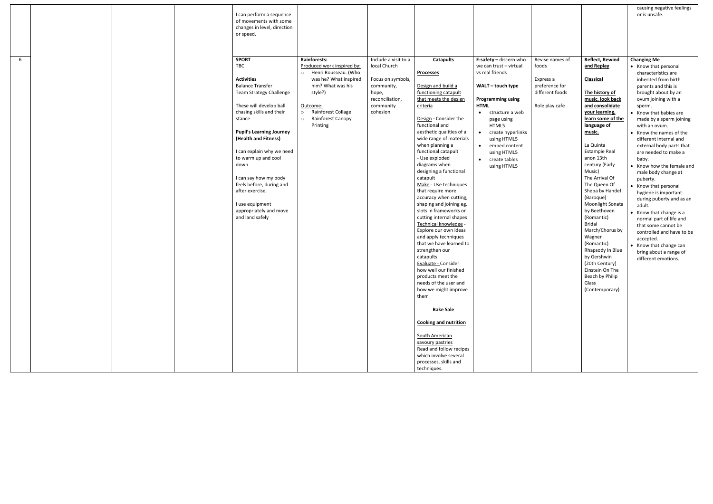|   |  | I can perform a sequence<br>of movements with some<br>changes in level, direction<br>or speed.                                                                                                                                                                                                                                                                                                                                        |                                                                                                                                                                                                                        |                                                                                                                              |                                                                                                                                                                                                                                                                                                                                                                                                                                                                                                                                                                                                                                                                                                                                                                                                                                              |                                                                                                                                                                                                                                                                                                                         |                                                                                              |                                                                                                                                                                                                                                                                                                                                                                                                                                                                                                                                                                | causing negative feelings<br>or is unsafe.                                                                                                                                                                                                                                                                                                                                                                                                                                                                                                                                                                                                                                                                               |
|---|--|---------------------------------------------------------------------------------------------------------------------------------------------------------------------------------------------------------------------------------------------------------------------------------------------------------------------------------------------------------------------------------------------------------------------------------------|------------------------------------------------------------------------------------------------------------------------------------------------------------------------------------------------------------------------|------------------------------------------------------------------------------------------------------------------------------|----------------------------------------------------------------------------------------------------------------------------------------------------------------------------------------------------------------------------------------------------------------------------------------------------------------------------------------------------------------------------------------------------------------------------------------------------------------------------------------------------------------------------------------------------------------------------------------------------------------------------------------------------------------------------------------------------------------------------------------------------------------------------------------------------------------------------------------------|-------------------------------------------------------------------------------------------------------------------------------------------------------------------------------------------------------------------------------------------------------------------------------------------------------------------------|----------------------------------------------------------------------------------------------|----------------------------------------------------------------------------------------------------------------------------------------------------------------------------------------------------------------------------------------------------------------------------------------------------------------------------------------------------------------------------------------------------------------------------------------------------------------------------------------------------------------------------------------------------------------|--------------------------------------------------------------------------------------------------------------------------------------------------------------------------------------------------------------------------------------------------------------------------------------------------------------------------------------------------------------------------------------------------------------------------------------------------------------------------------------------------------------------------------------------------------------------------------------------------------------------------------------------------------------------------------------------------------------------------|
| 6 |  | <b>SPORT</b><br>TBC<br><b>Activities</b><br><b>Balance Transfer</b><br><b>Team Strategy Challenge</b><br>These will develop ball<br>chasing skills and their<br>stance<br><b>Pupil's Learning Journey</b><br>(Health and Fitness)<br>I can explain why we need<br>to warm up and cool<br>down<br>I can say how my body<br>feels before, during and<br>after exercise.<br>I use equipment<br>appropriately and move<br>and land safely | Rainforests:<br>Produced work inspired by:<br>o Henri Rousseau. (Who<br>was he? What inspired<br>him? What was his<br>style?)<br>Outcome:<br>Rainforest Collage<br>$\circ$<br>Rainforest Canopy<br>$\circ$<br>Printing | Include a visit to a<br>local Church<br>Focus on symbols,<br>community,<br>hope,<br>reconciliation,<br>community<br>cohesion | <b>Catapults</b><br><b>Processes</b><br>Design and build a<br>functioning catapult<br>that meets the design<br>criteria<br>Design - Consider the<br>functional and<br>aesthetic qualities of a<br>wide range of materials<br>when planning a<br>functional catapult<br>- Use exploded<br>diagrams when<br>designing a functional<br>catapult<br>Make - Use techniques<br>that require more<br>accuracy when cutting,<br>shaping and joining eg.<br>slots in frameworks or<br>cutting internal shapes<br>Technical knowledge -<br>Explore our own ideas<br>and apply techniques<br>that we have learned to<br>strengthen our<br>catapults<br>Evaluate - Consider<br>how well our finished<br>products meet the<br>needs of the user and<br>how we might improve<br>them<br><b>Bake Sale</b><br><b>Cooking and nutrition</b><br>South American | E-safety - discern who<br>we can trust - virtual<br>vs real friends<br>WALT - touch type<br><b>Programming using</b><br><b>HTML</b><br>$\bullet$ structure a web<br>page using<br>HTML5<br>create hyperlinks<br>$\bullet$<br>using HTML5<br>embed content<br>$\bullet$<br>using HTML5<br>• create tables<br>using HTML5 | Revise names of<br>foods<br>Express a<br>preference for<br>different foods<br>Role play cafe | <b>Reflect, Rewind</b><br>and Replay<br>Classical<br>The history of<br>music, look back<br>and consolidate<br>your learning,<br>learn some of the<br>language of<br>music.<br>La Quinta<br><b>Estampie Real</b><br>anon 13th<br>century (Early<br>Music)<br>The Arrival Of<br>The Queen Of<br>Sheba by Handel<br>(Baroque)<br>Moonlight Sonata<br>by Beethoven<br>(Romantic)<br><b>Bridal</b><br>March/Chorus by<br>Wagner<br>(Romantic)<br>Rhapsody In Blue<br>by Gershwin<br>(20th Century)<br>Einstein On The<br>Beach by Philip<br>Glass<br>(Contemporary) | <b>Changing Me</b><br>• Know that personal<br>characteristics are<br>inherited from birth<br>parents and this is<br>brought about by an<br>ovum joining with a<br>sperm.<br>• Know that babies are<br>made by a sperm joining<br>with an ovum.<br>• Know the names of the<br>different internal and<br>external body parts that<br>are needed to make a<br>baby.<br>• Know how the female and<br>male body change at<br>puberty.<br>• Know that personal<br>hygiene is important<br>during puberty and as an<br>adult.<br>• Know that change is a<br>normal part of life and<br>that some cannot be<br>controlled and have to be<br>accepted.<br>• Know that change can<br>bring about a range of<br>different emotions. |
|   |  |                                                                                                                                                                                                                                                                                                                                                                                                                                       |                                                                                                                                                                                                                        |                                                                                                                              | savoury pastries<br>Read and follow recipes<br>which involve several<br>processes, skills and<br>techniques.                                                                                                                                                                                                                                                                                                                                                                                                                                                                                                                                                                                                                                                                                                                                 |                                                                                                                                                                                                                                                                                                                         |                                                                                              |                                                                                                                                                                                                                                                                                                                                                                                                                                                                                                                                                                |                                                                                                                                                                                                                                                                                                                                                                                                                                                                                                                                                                                                                                                                                                                          |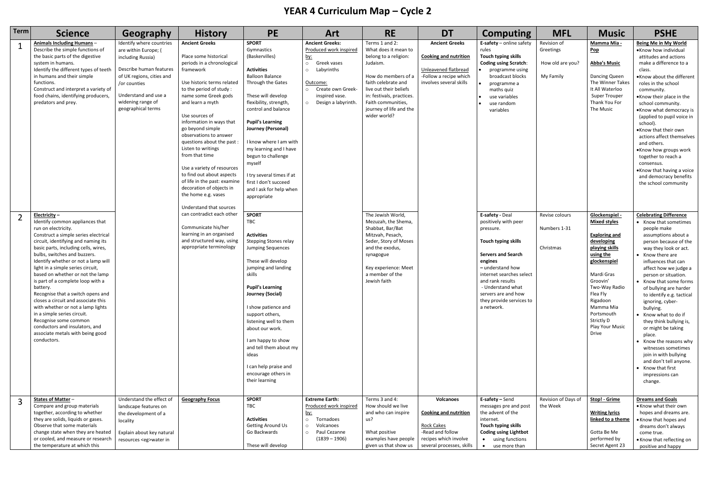## **YEAR 4 Curriculum Map – Cycle 2**

| Term | <b>Science</b>                                                                                                                                                                                                                                                                                                                                                                                                                                                                                                                                                                                                                                                  | Geography                                                                                                                                                                                                       | <b>History</b>                                                                                                                                                                                                                                                                                                                                                                                                                                                                                                                           | <b>PE</b>                                                                                                                                                                                                                                                                                                                                                                                                                    | <b>Art</b>                                                                                                                                                                                      | <b>RE</b>                                                                                                                                                                                                                                         | <b>DT</b>                                                                                                                                       | <b>Computing</b>                                                                                                                                                                                                                                                              | <b>MFL</b>                                                | <b>Music</b>                                                                                                                                                                                                                                                              | <b>PSHE</b>                                                                                                                                                                                                                                                                                                                                                                                                                                                                                                                                                                                          |
|------|-----------------------------------------------------------------------------------------------------------------------------------------------------------------------------------------------------------------------------------------------------------------------------------------------------------------------------------------------------------------------------------------------------------------------------------------------------------------------------------------------------------------------------------------------------------------------------------------------------------------------------------------------------------------|-----------------------------------------------------------------------------------------------------------------------------------------------------------------------------------------------------------------|------------------------------------------------------------------------------------------------------------------------------------------------------------------------------------------------------------------------------------------------------------------------------------------------------------------------------------------------------------------------------------------------------------------------------------------------------------------------------------------------------------------------------------------|------------------------------------------------------------------------------------------------------------------------------------------------------------------------------------------------------------------------------------------------------------------------------------------------------------------------------------------------------------------------------------------------------------------------------|-------------------------------------------------------------------------------------------------------------------------------------------------------------------------------------------------|---------------------------------------------------------------------------------------------------------------------------------------------------------------------------------------------------------------------------------------------------|-------------------------------------------------------------------------------------------------------------------------------------------------|-------------------------------------------------------------------------------------------------------------------------------------------------------------------------------------------------------------------------------------------------------------------------------|-----------------------------------------------------------|---------------------------------------------------------------------------------------------------------------------------------------------------------------------------------------------------------------------------------------------------------------------------|------------------------------------------------------------------------------------------------------------------------------------------------------------------------------------------------------------------------------------------------------------------------------------------------------------------------------------------------------------------------------------------------------------------------------------------------------------------------------------------------------------------------------------------------------------------------------------------------------|
|      | Animals Including Humans-<br>Describe the simple functions of<br>the basic parts of the digestive<br>system in humans.<br>Identify the different types of teeth<br>in humans and their simple<br>functions.<br>Construct and interpret a variety of<br>food chains, identifying producers,<br>predators and prey.                                                                                                                                                                                                                                                                                                                                               | Identify where countries<br>are within Europe; (<br>including Russia)<br>Describe human features<br>of UK regions, cities and<br>or counties<br>Understand and use a<br>widening range of<br>geographical terms | <b>Ancient Greeks</b><br>Place some historical<br>periods in a chronological<br>framework<br>Use historic terms related<br>to the period of study:<br>name some Greek gods<br>and learn a myth<br>Use sources of<br>information in ways that<br>go beyond simple<br>observations to answer<br>questions about the past:<br>Listen to writings<br>from that time<br>Use a variety of resources<br>to find out about aspects<br>of life in the past: examine<br>decoration of objects in<br>the home e.g. vases<br>Understand that sources | <b>SPORT</b><br>Gymnastics<br>(Baskervilles)<br><b>Activities</b><br><b>Balloon Balance</b><br>Through the Gates<br>These will develop<br>flexibility, strength,<br>control and balance<br><b>Pupil's Learning</b><br>Journey (Personal)<br>I know where I am with<br>my learning and I have<br>begun to challenge<br>myself<br>I try several times if at<br>first I don't succeed<br>and I ask for help when<br>appropriate | <b>Ancient Greeks:</b><br>Produced work inspired<br><u>by:</u><br>$\circ$<br>Greek vases<br>Labyrinths<br>$\circ$<br>Outcome:<br>o Create own Greek-<br>inspired vase.<br>o Design a labyrinth. | Terms 1 and 2:<br>What does it mean to<br>belong to a religion:<br>Judaism.<br>How do members of a<br>faith celebrate and<br>live out their beliefs<br>in: festivals, practices.<br>Faith communities,<br>journey of life and the<br>wider world? | <b>Ancient Greeks</b><br><b>Cooking and nutrition</b><br>Unleavened flatbread<br>-Follow a recipe which<br>involves several skills              | E-safety $-$ online safety<br>rules<br>Touch typing skills<br><b>Coding using Scratch:</b><br>programme using<br>broadcast blocks<br>programme a<br>maths quiz<br>use variables<br>use random<br>variables                                                                    | Revision of<br>Greetings<br>How old are you?<br>My Family | Mamma Mia -<br><b>Pop</b><br><b>Abba's Music</b><br>Dancing Queen<br>The Winner Takes<br>It All Waterloo<br>Super Trouper<br>Thank You For<br>The Music                                                                                                                   | <b>Being Me in My World</b><br>•Know how individual<br>attitudes and actions<br>make a difference to a<br>class.<br>.Know about the different<br>roles in the school<br>community.<br>•Know their place in the<br>school community.<br>•Know what democracy is<br>(applied to pupil voice in<br>school).<br>.Know that their own<br>actions affect themselves<br>and others.<br>.Know how groups work<br>together to reach a<br>consensus.<br>.Know that having a voice<br>and democracy benefits<br>the school community                                                                            |
|      | Electricity $-$<br>Identify common appliances that<br>run on electricity.<br>Construct a simple series electrical<br>circuit, identifying and naming its<br>basic parts, including cells, wires,<br>bulbs, switches and buzzers.<br>Identify whether or not a lamp will<br>light in a simple series circuit,<br>based on whether or not the lamp<br>is part of a complete loop with a<br>battery.<br>Recognise that a switch opens and<br>closes a circuit and associate this<br>with whether or not a lamp lights<br>in a simple series circuit.<br>Recognise some common<br>conductors and insulators, and<br>associate metals with being good<br>conductors. |                                                                                                                                                                                                                 | can contradict each other<br>Communicate his/her<br>learning in an organised<br>and structured way, using<br>appropriate terminology                                                                                                                                                                                                                                                                                                                                                                                                     | <b>SPORT</b><br>TBC<br><b>Activities</b><br><b>Stepping Stones relay</b><br>Jumping Sequences<br>These will develop<br>jumping and landing<br>skills<br><b>Pupil's Learning</b><br>Journey (Social)<br>I show patience and<br>support others,<br>listening well to them<br>about our work.<br>I am happy to show<br>and tell them about my<br>ideas<br>I can help praise and<br>encourage others in<br>their learning        |                                                                                                                                                                                                 | The Jewish World,<br>Mezuzah, the Shema,<br>Shabbat, Bar/Bat<br>Mitzvah, Pesach,<br>Seder, Story of Moses<br>and the exodus,<br>synagogue<br>Key experience: Meet<br>a member of the<br>Jewish faith                                              |                                                                                                                                                 | E-safety - Deal<br>positively with peer<br>pressure.<br>Touch typing skills<br><b>Servers and Search</b><br>engines<br>- understand how<br>internet searches select<br>and rank results<br>- Understand what<br>servers are and how<br>they provide services to<br>a network. | Revise colours<br>Numbers 1-31<br>Christmas               | Glockenspiel -<br><b>Mixed styles</b><br><b>Exploring and</b><br>developing<br>playing skills<br>using the<br>glockenspiel<br>Mardi Gras<br>Groovin'<br>Two-Way Radio<br>Flea Fly<br>Rigadoon<br>Mamma Mia<br>Portsmouth<br>Strictly D<br>Play Your Music<br><b>Drive</b> | <b>Celebrating Difference</b><br>• Know that sometimes<br>people make<br>assumptions about a<br>person because of the<br>way they look or act.<br>• Know there are<br>influences that can<br>affect how we judge a<br>person or situation.<br>• Know that some forms<br>of bullying are harder<br>to identify e.g. tactical<br>ignoring, cyber-<br>bullying.<br>• Know what to do if<br>they think bullying is,<br>or might be taking<br>place.<br>Know the reasons why<br>witnesses sometimes<br>join in with bullying<br>and don't tell anyone.<br>• Know that first<br>impressions can<br>change. |
|      | States of Matter -<br>Compare and group materials<br>together, according to whether<br>they are solids, liquids or gases.<br>Observe that some materials<br>change state when they are heated<br>or cooled, and measure or research<br>the temperature at which this                                                                                                                                                                                                                                                                                                                                                                                            | Understand the effect of<br>landscape features on<br>the development of a<br>locality<br>Explain about key natural<br>resources <eg>water in</eg>                                                               | <b>Geography Focus</b>                                                                                                                                                                                                                                                                                                                                                                                                                                                                                                                   | <b>SPORT</b><br>TBC<br><b>Activities</b><br><b>Getting Around Us</b><br>Go Backwards<br>These will develop                                                                                                                                                                                                                                                                                                                   | <b>Extreme Earth:</b><br>Produced work inspired<br><u>by:</u><br>$\circ$<br>Tornadoes<br>Volcanoes<br>$\circ$<br>o Paul Cezanne<br>$(1839 - 1906)$                                              | Terms 3 and 4:<br>How should we live<br>and who can inspire<br>us?<br>What positive<br>examples have people<br>given us that show us                                                                                                              | <b>Volcanoes</b><br><b>Cooking and nutrition</b><br><b>Rock Cakes</b><br>-Read and follow<br>recipes which involve<br>several processes, skills | E-safety - Send<br>messages pre and post<br>the advent of the<br>internet.<br>Touch typing skills<br><b>Coding using Lightbot</b><br>using functions<br>$\bullet$<br>use more than<br>$\bullet$                                                                               | Revision of Days of<br>the Week                           | Stop! - Grime<br><b>Writing lyrics</b><br>linked to a theme<br>Gotta Be Me<br>performed by<br>Secret Agent 23                                                                                                                                                             | <b>Dreams and Goals</b><br>• Know what their own<br>hopes and dreams are.<br>• Know that hopes and<br>dreams don't always<br>come true.<br>• Know that reflecting on<br>positive and happy                                                                                                                                                                                                                                                                                                                                                                                                           |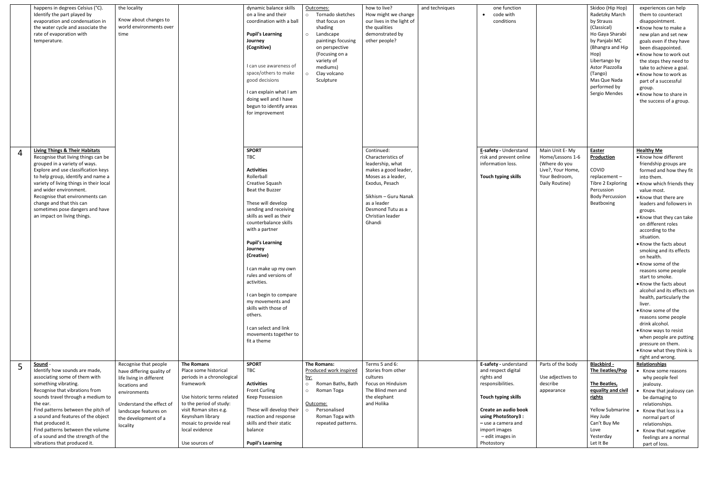|                | happens in degrees Celsius (°C).<br>Identify the part played by<br>evaporation and condensation in<br>the water cycle and associate the<br>rate of evaporation with<br>temperature.                                                                                                                                                                                                                  | the locality<br>Know about changes to<br>world environments over<br>time                                                                                                                                 |                                                                                                                                                                                                                                                     | dynamic balance skills<br>on a line and their<br>coordination with a ball<br><b>Pupil's Learning</b><br>Journey<br>(Cognitive)<br>I can use awareness of<br>space/others to make<br>good decisions<br>I can explain what I am<br>doing well and I have<br>begun to identify areas<br>for improvement                                                                                                                                                                                           | Outcomes:<br>o Tornado sketches<br>that focus on<br>shading<br>Landscape<br>$\circ$<br>paintings focusing<br>on perspective<br>(Focusing on a<br>variety of<br>mediums)<br>Clay volcano<br>$\circ$<br>Sculpture | how to live?<br>How might we change<br>our lives in the light of<br>the qualities<br>demonstrated by<br>other people?                                                                                          | and techniques | one function<br>code with<br>conditions                                                                                                                                                                                       |                                                                                                             | Skidoo (Hip Hop)<br>Radetzky March<br>by Strauss<br>(Classical)<br>Ho Gaya Sharabi<br>by Panjabi MC<br>(Bhangra and Hip<br>Hop)<br>Libertango by<br>Astor Piazzolla<br>(Tango)<br>Mas Que Nada<br>performed by<br>Sergio Mendes | experiences can help<br>them to counteract<br>disappointment.<br>• Know how to make a<br>new plan and set new<br>goals even if they have<br>been disappointed.<br>. Know how to work out<br>the steps they need to<br>take to achieve a goal.<br>• Know how to work as<br>part of a successful<br>group.<br>• Know how to share in<br>the success of a group.                                                                                                                                                                                                                                                                                                                                                                          |
|----------------|------------------------------------------------------------------------------------------------------------------------------------------------------------------------------------------------------------------------------------------------------------------------------------------------------------------------------------------------------------------------------------------------------|----------------------------------------------------------------------------------------------------------------------------------------------------------------------------------------------------------|-----------------------------------------------------------------------------------------------------------------------------------------------------------------------------------------------------------------------------------------------------|------------------------------------------------------------------------------------------------------------------------------------------------------------------------------------------------------------------------------------------------------------------------------------------------------------------------------------------------------------------------------------------------------------------------------------------------------------------------------------------------|-----------------------------------------------------------------------------------------------------------------------------------------------------------------------------------------------------------------|----------------------------------------------------------------------------------------------------------------------------------------------------------------------------------------------------------------|----------------|-------------------------------------------------------------------------------------------------------------------------------------------------------------------------------------------------------------------------------|-------------------------------------------------------------------------------------------------------------|---------------------------------------------------------------------------------------------------------------------------------------------------------------------------------------------------------------------------------|----------------------------------------------------------------------------------------------------------------------------------------------------------------------------------------------------------------------------------------------------------------------------------------------------------------------------------------------------------------------------------------------------------------------------------------------------------------------------------------------------------------------------------------------------------------------------------------------------------------------------------------------------------------------------------------------------------------------------------------|
| $\overline{4}$ | <b>Living Things &amp; Their Habitats</b><br>Recognise that living things can be<br>grouped in a variety of ways.<br>Explore and use classification keys<br>to help group, identify and name a<br>variety of living things in their local<br>and wider environment.<br>Recognise that environments can<br>change and that this can<br>sometimes pose dangers and have<br>an impact on living things. |                                                                                                                                                                                                          |                                                                                                                                                                                                                                                     | <b>SPORT</b><br><b>TBC</b><br><b>Activities</b><br>Rollerball<br>Creative Squash<br>Beat the Buzzer<br>These will develop<br>sending and receiving<br>skills as well as their<br>counterbalance skills<br>with a partner<br><b>Pupil's Learning</b><br>Journey<br>(Creative)<br>I can make up my own<br>rules and versions of<br>activities.<br>I can begin to compare<br>my movements and<br>skills with those of<br>others.<br>I can select and link<br>movements together to<br>fit a theme |                                                                                                                                                                                                                 | Continued:<br>Characteristics of<br>leadership, what<br>makes a good leader,<br>Moses as a leader,<br>Exodus, Pesach<br>Sikhism - Guru Nanak<br>as a leader<br>Desmond Tutu as a<br>Christian leader<br>Ghandi |                | E-safety - Understand<br>risk and prevent online<br>information loss.<br>Touch typing skills                                                                                                                                  | Main Unit E-My<br>Home/Lessons 1-6<br>(Where do you<br>Live?, Your Home,<br>Your Bedroom,<br>Daily Routine) | Easter<br><b>Production</b><br>COVID<br>replacement-<br>Tibre 2 Exploring<br>Percussion<br><b>Body Percussion</b><br>Beatboxing                                                                                                 | <b>Healthy Me</b><br>• Know how different<br>friendship groups are<br>formed and how they fit<br>into them.<br>. Know which friends they<br>value most.<br>• Know that there are<br>leaders and followers in<br>groups.<br>• Know that they can take<br>on different roles<br>according to the<br>situation.<br>• Know the facts about<br>smoking and its effects<br>on health.<br>• Know some of the<br>reasons some people<br>start to smoke.<br>• Know the facts about<br>alcohol and its effects on<br>health, particularly the<br>liver.<br>• Know some of the<br>reasons some people<br>drink alcohol.<br>• Know ways to resist<br>when people are putting<br>pressure on them.<br>• Know what they think is<br>right and wrong. |
|                | Sound -<br>Identify how sounds are made,<br>associating some of them with<br>something vibrating.<br>Recognise that vibrations from<br>sounds travel through a medium to<br>the ear.<br>Find patterns between the pitch of<br>a sound and features of the object<br>that produced it.<br>Find patterns between the volume<br>of a sound and the strength of the<br>vibrations that produced it.      | Recognise that people<br>have differing quality of<br>life living in different<br>locations and<br>environments<br>Understand the effect of<br>landscape features on<br>the development of a<br>locality | The Romans<br>Place some historical<br>periods in a chronological<br>framework<br>Use historic terms related<br>to the period of study:<br>visit Roman sites e.g.<br>Keynsham library<br>mosaic to provide real<br>local evidence<br>Use sources of | <b>SPORT</b><br>TBC<br><b>Activities</b><br><b>Front Curling</b><br>Keep Possession<br>These will develop their<br>reaction and response<br>skills and their static<br>balance<br><b>Pupil's Learning</b>                                                                                                                                                                                                                                                                                      | The Romans:<br>Produced work inspired<br><u>by:</u><br>Roman Baths, Bath<br>$\circ$<br>Roman Toga<br>$\circ$<br>Outcome:<br>Personalised<br>Roman Toga with<br>repeated patterns.                               | Terms 5 and 6:<br>Stories from other<br>cultures<br>Focus on Hinduism<br>The Blind men and<br>the elephant<br>and Holika                                                                                       |                | E-safety - understand<br>and respect digital<br>rights and<br>responsibilities.<br>Touch typing skills<br>Create an audio book<br>using PhotoStory3:<br>- use a camera and<br>import images<br>- edit images in<br>Photostory | Parts of the body<br>Use adjectives to<br>describe<br>appearance                                            | Blackbird -<br>The Beatles/Pop<br>The Beatles,<br>equality and civil<br><u>rights</u><br>Yellow Submarine<br>Hey Jude<br>Can't Buy Me<br>Love<br>Yesterday<br>Let It Be                                                         | Relationships<br>• Know some reasons<br>why people feel<br>jealousy.<br>Know that jealousy can<br>be damaging to<br>relationships.<br>Know that loss is a<br>normal part of<br>relationships.<br>• Know that negative<br>feelings are a normal<br>part of loss.                                                                                                                                                                                                                                                                                                                                                                                                                                                                        |